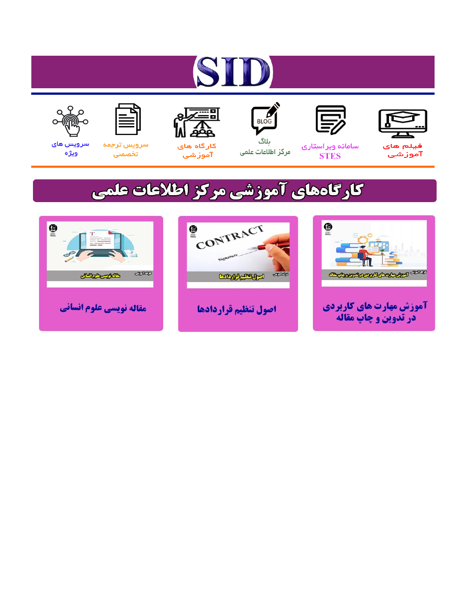# ST











مرکز اطلاعات علمی

 $\frac{1}{\sqrt{\frac{1}{100}}}$ ىلاگ



آموزشي

空

سرويس ترجمه تخصصى



سرویس های ويژه

# كارگاههای آموزشی مركز اطلاعات علمی





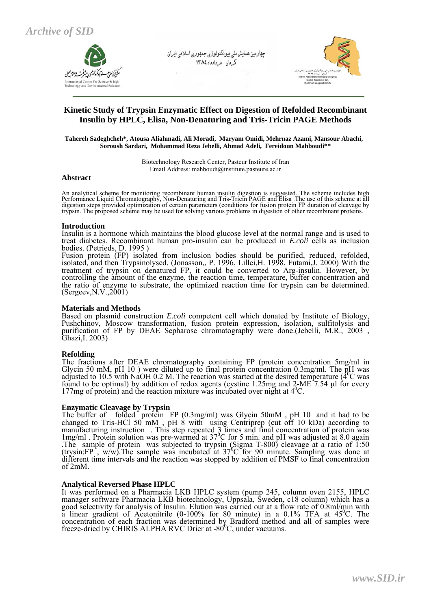

چھارمین همایش ملی بیوتکنولوڑی جمهوری اسلامی ایران كمرمان مردادماه ١٣٨٤



# **Kinetic Study of Trypsin Enzymatic Effect on Digestion of Refolded Recombinant Insulin by HPLC, Elisa, Non-Denaturing and Tris-Tricin PAGE Methods**

#### **Tahereh Sadeghcheh\*, Atousa Aliahmadi, Ali Moradi, Maryam Omidi, Mehrnaz Azami, Mansour Abachi, Soroush Sardari, Mohammad Reza Jebelli, Ahmad Adeli, Fereidoun Mahboudi\*\***

Biotechnology Research Center, Pasteur Institute of Iran Email Address: mahboudi@institute.pasteure.ac.ir

#### **Abstract**

An analytical scheme for monitoring recombinant human insulin digestion is suggested. The scheme includes high Performance Liquid Chromatography, Non-Denaturing and Tris-Tricin PAGE and Elisa .The use of this scheme at all digestion steps provided optimization of certain parameters (conditions for fusion protein FP duration of cleavage by trypsin. The proposed scheme may be used for solving various problems in digestion of other recombinant proteins.

#### **Introduction**

Insulin is a hormone which maintains the blood glucose level at the normal range and is used to treat diabetes. Recombinant human pro-insulin can be produced in *E.coli* cells as inclusion bodies. (Petrieds, D. 1995 )

Fusion protein (FP) isolated from inclusion bodies should be purified, reduced, refolded, isolated, and then Trypsinolysed. (Jonasson,, P. 1996, Lillei,H. 1998, Futami,J. 2000) With the treatment of trypsin on denatured FP, it could be converted to Arg-insulin. However, by controlling the amount of the enzyme, the reaction time, temperature, buffer concentration and the ratio of enzyme to substrate, the optimized reaction time for trypsin can be determined. (Sergeev,N.V.,2001)

#### **Materials and Methods**

Based on plasmid construction *E.coli* competent cell which donated by Institute of Biology, Pushchinov, Moscow transformation, fusion protein expression, isolation, sulfitolysis and purification of FP by DEAE Sepharose chromatography were done.(Jebelli, M.R., 2003 , Ghazi,I. 2003)

#### **Refolding**

The fractions after DEAE chromatography containing FP (protein concentration 5mg/ml in Glycin 50 mM, pH 10 ) were diluted up to final protein concentration 0.3mg/ml. The pH was adjusted to  $10.5$  with NaOH 0.2 M. The reaction was started at the desired temperature ( $4^{\circ}$ C was found to be optimal) by addition of redox agents (cystine 1.25mg and 2-ME 7.54 μl for every 177 $mg$  of protein) and the reaction mixture was incubated over night at  $4^\circ$ C.

#### **Enzymatic Cleavage by Trypsin**

The buffer of folded protein FP (0.3mg/ml) was Glycin 50mM , pH 10 and it had to be changed to Tris-HCl 50 mM, pH  $\hat{8}$  with using Centriprep (cut off 10 kDa) according to manufacturing instruction . This step repeated  $\frac{3}{2}$  times and final concentration of protein was 1mg/ml . Protein solution was pre-warmed at 370 C for 5 min. and pH was adjusted at 8.0 again . The sample of protein was subjected to trypsin (Sigma  $T-800$ ) cleavage at a ratio of  $\overline{1:}50$ (trysin: $FP$ , w/w). The sample was incubated at  $37^{\circ}$ C for 90 minute. Sampling was done at different time intervals and the reaction was stopped by addition of PMSF to final concentration of 2mM.

#### **Analytical Reversed Phase HPLC**

It was performed on a Pharmacia LKB HPLC system (pump 245, column oven 2155, HPLC manager software Pharmacia LKB biotechnology, Uppsala, Sweden, c18 column) which has a good selectivity for analysis of Insulin. Elution was carried out at a flow rate of 0.8ml/min with a linear gradient of Acetonitrile (0-100% for 80 minute) in a 0.1% TFA at 45<sup>o</sup>C. The concentration of each fraction was determined by Bradford method and all of samples were freeze-dried by CHIRIS ALPHA RVC Drier at -80<sup>o</sup>C, under vacuums.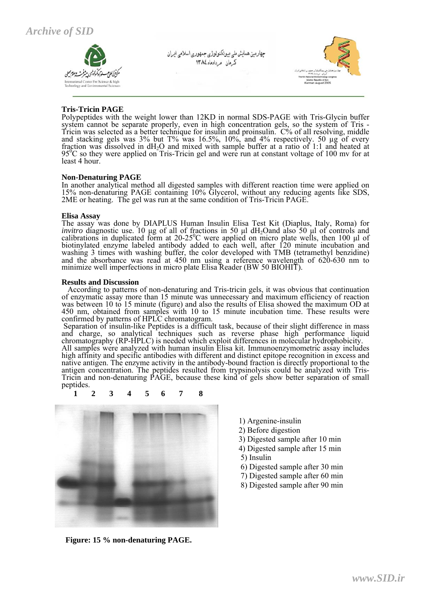

# **Tris-Tricin PAGE**

Polypeptides with the weight lower than 12KD in normal SDS-PAGE with Tris-Glycin buffer system cannot be separate properly, even in high concentration gels, so the system of Tris -Tricin was selected as a better technique for insulin and proinsulin. C% of all resolving, middle and stacking gels was  $3\%$  but  $T\%$  was  $16.5\%$ ,  $10\%$ , and  $4\%$  respectively. 50  $\mu$ g of every fraction was dissolved in dH2O and mixed with sample buffer at a ratio of 1:1 and heated at 950 C so they were applied on Tris-Tricin gel and were run at constant voltage of 100 mv for at least 4 hour.

## **Non-Denaturing PAGE**

In another analytical method all digested samples with different reaction time were applied on 15% non-denaturing PAGE containing 10% Glycerol, without any reducing agents like SDS, 2ME or heating. The gel was run at the same condition of Tris-Tricin PAGE.

## **Elisa Assay**

The assay was done by DIAPLUS Human Insulin Elisa Test Kit (Diaplus, Italy, Roma) for *invitro* diagnostic use. 10 μg of all of fractions in 50 μl dH<sub>2</sub>Oand also 50 μl of controls and calibrations in duplicated form at  $20-25^\circ$ C were applied on micro plate wells, then 100  $\mu$ l of biotinylated enzyme labeled antibody added to each well, after 120 minute incubation and washing 3 times with washing buffer, the color developed with TMB (tetramethyl benzidine) and the absorbance was read at 450 nm using a reference wavelength of 620-630 nm to minimize well imperfections in micro plate Elisa Reader (BW 50 BIOHIT).

## **Results and Discussion**

 According to patterns of non-denaturing and Tris-tricin gels, it was obvious that continuation of enzymatic assay more than 15 minute was unnecessary and maximum efficiency of reaction was between 10 to 15 minute (figure) and also the results of Elisa showed the maximum OD at 450 nm, obtained from samples with 10 to 15 minute incubation time. These results were confirmed by patterns of HPLC chromatogram.

 Separation of insulin-like Peptides is a difficult task, because of their slight difference in mass and charge, so analytical techniques such as reverse phase high performance liquid chromatography (RP-HPLC) is needed which exploit differences in molecular hydrophobicity. All samples were analyzed with human insulin Elisa kit. Immunoenzymometric assay includes high affinity and specific antibodies with different and distinct epitope recognition in excess and native antigen. The enzyme activity in the antibody-bound fraction is directly proportional to the antigen concentration. The peptides resulted from trypsinolysis could be analyzed with Tris-Tricin and non-denaturing PAGE, because these kind of gels show better separation of small peptides.



 **Figure: 15 % non-denaturing PAGE.** 

- 1) Argenine-insulin
- 2) Before digestion
- 3) Digested sample after 10 min
- 4) Digested sample after 15 min
- 5) Insulin
- 6) Digested sample after 30 min
- 7) Digested sample after 60 min
- 8) Digested sample after 90 min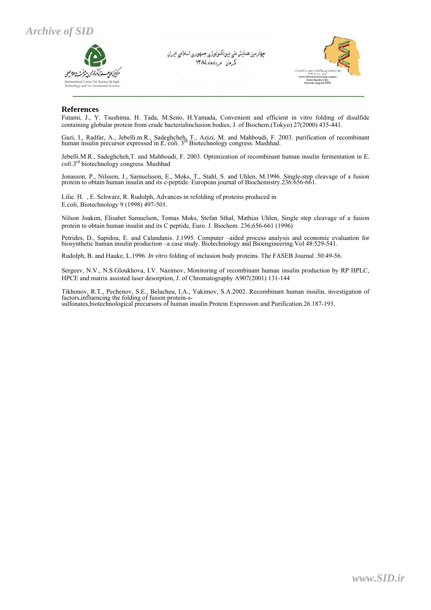

#### **References**

Futami, J., Y. Tsushima, H. Tada, M.Seno, H.Yamada, Convenient and efficient in vitro folding of disulfide containing globular protein from crude bacterialinclusion bodies, J. of Biochem.(Tokyo) 27(2000) 435-441.

Gazi, I., Radfar, A., Jebelli.m.R., Sadeghcheh, T., Azizi, M. and Mahboudi, F. 2003. purification of recombinant human insulin precursor expressed in *E. coli*. 3<sup>rd</sup> Biotechnology congress. Mashhad.

Jebelli.M.R., Sadeghcheh,T. and Mahboudi, F. 2003. Optimization of recombinant human insulin fermentation in *E. coli*.3rd biotechnology congress. Mashhad

Jonasson, P., Nilsson, J., Samuelsson, E., Moks, T., Stahl, S. and Uhlen, M.1996. Single-step cleavage of a fusion protein to obtain human insulin and its c-peptide. European journal of Biochemistry.236:656-661.

Lilie. H. , E. Schwarz, R. Rudolph, Advances in refolding of proteins produced in E.coli, Biotechnology 9 (1998) 497-501.

Nilson Joakim, Elisabet Samuelson, Tomas Moks, Stefan Sthal, Mathias Uhlen, Single step cleavage of a fusion protein to obtain human insulin and its C peptide, Euro. J. Biochem. 236,656-661 (1996)

Petrides, D., Sapidou, E. and Calandanis. J.1995. Computer –aided process analysis and economic evaluation for biosynthetic human insulin production –a case study. Biotechnology and Bioengineering.Vol 48:529-541.

Rudolph, B. and Hauke, L.1996. *In vitro* folding of inclusion body proteins. The FASEB Journal .50:49-56.

Sergeev, N.V., N.S.Gloukhova, I.V. Nazimov, Monitoring of recombinant human insulin production by RP HPLC, HPCE and matrix assisted laser desorption, J. of Chromatography A907(2001) 131-144

Tikhonov, R.T., Pechenov, S.E., Belacheu, I.A., Yakimov, S.A.2002. Recombinant human insulin, investigation of factors,influencing the folding of fusion protein-ssulfonates,biotechnological precursors of human insulin.Protein Expression and Purification.26.187-193.